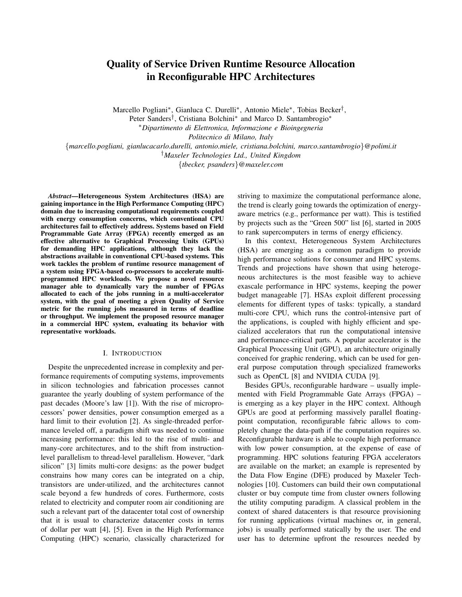# Quality of Service Driven Runtime Resource Allocation in Reconfigurable HPC Architectures

Marcello Pogliani<sup>∗</sup> , Gianluca C. Durelli<sup>∗</sup> , Antonio Miele<sup>∗</sup> , Tobias Becker† ,

Peter Sanders<sup>†</sup>, Cristiana Bolchini<sup>\*</sup> and Marco D. Santambrogio<sup>\*</sup>

<sup>∗</sup>*Dipartimento di Elettronica, Informazione e Bioingegneria*

*Politecnico di Milano, Italy*

{*marcello.pogliani, gianlucacarlo.durelli, antonio.miele, cristiana.bolchini, marco.santambrogio*}*@polimi.it* †*Maxeler Technologies Ltd., United Kingdom*

{*tbecker, psanders*}*@maxeler.com*

*Abstract*—Heterogeneous System Architectures (HSA) are gaining importance in the High Performance Computing (HPC) domain due to increasing computational requirements coupled with energy consumption concerns, which conventional CPU architectures fail to effectively address. Systems based on Field Programmable Gate Array (FPGA) recently emerged as an effective alternative to Graphical Processing Units (GPUs) for demanding HPC applications, although they lack the abstractions available in conventional CPU-based systems. This work tackles the problem of runtime resource management of a system using FPGA-based co-processors to accelerate multiprogrammed HPC workloads. We propose a novel resource manager able to dynamically vary the number of FPGAs allocated to each of the jobs running in a multi-accelerator system, with the goal of meeting a given Quality of Service metric for the running jobs measured in terms of deadline or throughput. We implement the proposed resource manager in a commercial HPC system, evaluating its behavior with representative workloads.

#### I. INTRODUCTION

Despite the unprecedented increase in complexity and performance requirements of computing systems, improvements in silicon technologies and fabrication processes cannot guarantee the yearly doubling of system performance of the past decades (Moore's law [1]). With the rise of microprocessors' power densities, power consumption emerged as a hard limit to their evolution [2]. As single-threaded performance leveled off, a paradigm shift was needed to continue increasing performance: this led to the rise of multi- and many-core architectures, and to the shift from instructionlevel parallelism to thread-level parallelism. However, "dark silicon" [3] limits multi-core designs: as the power budget constrains how many cores can be integrated on a chip, transistors are under-utilized, and the architectures cannot scale beyond a few hundreds of cores. Furthermore, costs related to electricity and computer room air conditioning are such a relevant part of the datacenter total cost of ownership that it is usual to characterize datacenter costs in terms of dollar per watt [4], [5]. Even in the High Performance Computing (HPC) scenario, classically characterized for striving to maximize the computational performance alone, the trend is clearly going towards the optimization of energyaware metrics (e.g., performance per watt). This is testified by projects such as the "Green 500" list [6], started in 2005 to rank supercomputers in terms of energy efficiency.

In this context, Heterogeneous System Architectures (HSA) are emerging as a common paradigm to provide high performance solutions for consumer and HPC systems. Trends and projections have shown that using heterogeneous architectures is the most feasible way to achieve exascale performance in HPC systems, keeping the power budget manageable [7]. HSAs exploit different processing elements for different types of tasks: typically, a standard multi-core CPU, which runs the control-intensive part of the applications, is coupled with highly efficient and specialized accelerators that run the computational intensive and performance-critical parts. A popular accelerator is the Graphical Processing Unit (GPU), an architecture originally conceived for graphic rendering, which can be used for general purpose computation through specialized frameworks such as OpenCL [8] and NVIDIA CUDA [9].

Besides GPUs, reconfigurable hardware – usually implemented with Field Programmable Gate Arrays (FPGA) – is emerging as a key player in the HPC context. Although GPUs are good at performing massively parallel floatingpoint computation, reconfigurable fabric allows to completely change the data-path if the computation requires so. Reconfigurable hardware is able to couple high performance with low power consumption, at the expense of ease of programming. HPC solutions featuring FPGA accelerators are available on the market; an example is represented by the Data Flow Engine (DFE) produced by Maxeler Technologies [10]. Customers can build their own computational cluster or buy compute time from cluster owners following the utility computing paradigm. A classical problem in the context of shared datacenters is that resource provisioning for running applications (virtual machines or, in general, jobs) is usually performed statically by the user. The end user has to determine upfront the resources needed by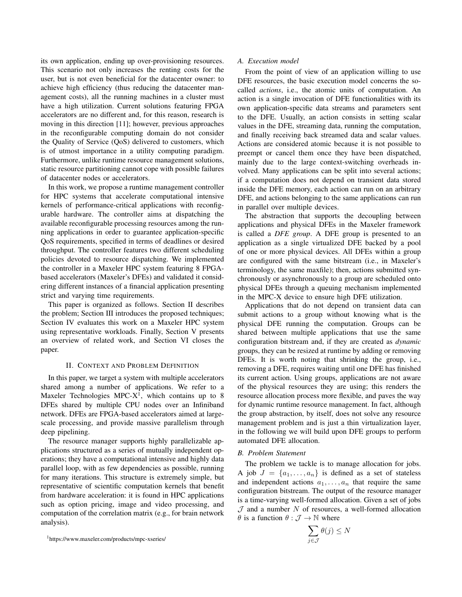its own application, ending up over-provisioning resources. This scenario not only increases the renting costs for the user, but is not even beneficial for the datacenter owner: to achieve high efficiency (thus reducing the datacenter management costs), all the running machines in a cluster must have a high utilization. Current solutions featuring FPGA accelerators are no different and, for this reason, research is moving in this direction [11]; however, previous approaches in the reconfigurable computing domain do not consider the Quality of Service (QoS) delivered to customers, which is of utmost importance in a utility computing paradigm. Furthermore, unlike runtime resource management solutions, static resource partitioning cannot cope with possible failures of datacenter nodes or accelerators.

In this work, we propose a runtime management controller for HPC systems that accelerate computational intensive kernels of performance-critical applications with reconfigurable hardware. The controller aims at dispatching the available reconfigurable processing resources among the running applications in order to guarantee application-specific QoS requirements, specified in terms of deadlines or desired throughput. The controller features two different scheduling policies devoted to resource dispatching. We implemented the controller in a Maxeler HPC system featuring 8 FPGAbased accelerators (Maxeler's DFEs) and validated it considering different instances of a financial application presenting strict and varying time requirements.

This paper is organized as follows. Section II describes the problem; Section III introduces the proposed techniques; Section IV evaluates this work on a Maxeler HPC system using representative workloads. Finally, Section V presents an overview of related work, and Section VI closes the paper.

#### II. CONTEXT AND PROBLEM DEFINITION

In this paper, we target a system with multiple accelerators shared among a number of applications. We refer to a Maxeler Technologies MPC- $X<sup>1</sup>$ , which contains up to 8 DFEs shared by multiple CPU nodes over an Infiniband network. DFEs are FPGA-based accelerators aimed at largescale processing, and provide massive parallelism through deep pipelining.

The resource manager supports highly parallelizable applications structured as a series of mutually independent operations; they have a computational intensive and highly data parallel loop, with as few dependencies as possible, running for many iterations. This structure is extremely simple, but representative of scientific computation kernels that benefit from hardware acceleration: it is found in HPC applications such as option pricing, image and video processing, and computation of the correlation matrix (e.g., for brain network analysis).

#### *A. Execution model*

From the point of view of an application willing to use DFE resources, the basic execution model concerns the socalled *actions*, i.e., the atomic units of computation. An action is a single invocation of DFE functionalities with its own application-specific data streams and parameters sent to the DFE. Usually, an action consists in setting scalar values in the DFE, streaming data, running the computation, and finally receiving back streamed data and scalar values. Actions are considered atomic because it is not possible to preempt or cancel them once they have been dispatched, mainly due to the large context-switching overheads involved. Many applications can be split into several actions; if a computation does not depend on transient data stored inside the DFE memory, each action can run on an arbitrary DFE, and actions belonging to the same applications can run in parallel over multiple devices.

The abstraction that supports the decoupling between applications and physical DFEs in the Maxeler framework is called a *DFE group*. A DFE group is presented to an application as a single virtualized DFE backed by a pool of one or more physical devices. All DFEs within a group are configured with the same bitstream (i.e., in Maxeler's terminology, the same maxfile); then, actions submitted synchronously or asynchronously to a group are scheduled onto physical DFEs through a queuing mechanism implemented in the MPC-X device to ensure high DFE utilization.

Applications that do not depend on transient data can submit actions to a group without knowing what is the physical DFE running the computation. Groups can be shared between multiple applications that use the same configuration bitstream and, if they are created as *dynamic* groups, they can be resized at runtime by adding or removing DFEs. It is worth noting that shrinking the group, i.e., removing a DFE, requires waiting until one DFE has finished its current action. Using groups, applications are not aware of the physical resources they are using; this renders the resource allocation process more flexible, and paves the way for dynamic runtime resource management. In fact, although the group abstraction, by itself, does not solve any resource management problem and is just a thin virtualization layer, in the following we will build upon DFE groups to perform automated DFE allocation.

## *B. Problem Statement*

The problem we tackle is to manage allocation for jobs. A job  $J = \{a_1, \ldots, a_n\}$  is defined as a set of stateless and independent actions  $a_1, \ldots, a_n$  that require the same configuration bitstream. The output of the resource manager is a time-varying well-formed allocation. Given a set of jobs  $J$  and a number N of resources, a well-formed allocation  $\theta$  is a function  $\theta : \mathcal{J} \to \mathbb{N}$  where

$$
\sum_{j \in \mathcal{J}} \theta(j) \le N
$$

<sup>1</sup>https://www.maxeler.com/products/mpc-xseries/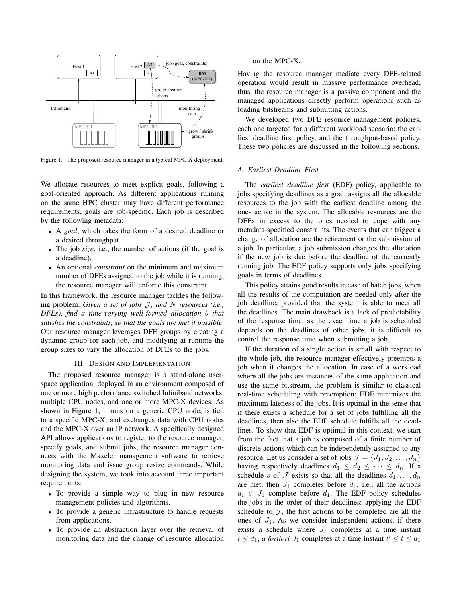

Figure 1. The proposed resource manager in a typical MPC-X deployment.

We allocate resources to meet explicit goals, following a goal-oriented approach. As different applications running on the same HPC cluster may have different performance requirements, goals are job-specific. Each job is described by the following metadata:

- A *goal*, which takes the form of a desired deadline or a desired throughput.
- The job *size*, i.e., the number of actions (if the goal is a deadline).
- An optional *constraint* on the minimum and maximum number of DFEs assigned to the job while it is running; the resource manager will enforce this constraint.

In this framework, the resource manager tackles the following problem: *Given a set of jobs J, and N resources (i.e., DFEs), find a time-varying well-formed allocation* θ *that satisfies the constraints, so that the goals are met if possible*. Our resource manager leverages DFE groups by creating a dynamic group for each job, and modifying at runtime the group sizes to vary the allocation of DFEs to the jobs.

#### III. DESIGN AND IMPLEMENTATION

The proposed resource manager is a stand-alone userspace application, deployed in an environment composed of one or more high performance switched Infiniband networks, multiple CPU nodes, and one or more MPC-X devices. As shown in Figure 1, it runs on a generic CPU node, is tied to a specific MPC-X, and exchanges data with CPU nodes and the MPC-X over an IP network. A specifically designed API allows applications to register to the resource manager, specify goals, and submit jobs; the resource manager connects with the Maxeler management software to retrieve monitoring data and issue group resize commands. While designing the system, we took into account three important requirements:

- To provide a simple way to plug in new resource management policies and algorithms.
- To provide a generic infrastructure to handle requests from applications.
- To provide an abstraction layer over the retrieval of monitoring data and the change of resource allocation

on the MPC-X.

Having the resource manager mediate every DFE-related operation would result in massive performance overhead; thus, the resource manager is a passive component and the managed applications directly perform operations such as loading bitstreams and submitting actions.

We developed two DFE resource management policies, each one targeted for a different workload scenario: the earliest deadline first policy, and the throughput-based policy. These two policies are discussed in the following sections.

### *A. Earliest Deadline First*

The *earliest deadline first* (EDF) policy, applicable to jobs specifying deadlines as a goal, assigns all the allocable resources to the job with the earliest deadline among the ones active in the system. The allocable resources are the DFEs in excess to the ones needed to cope with any metadata-specified constraints. The events that can trigger a change of allocation are the retirement or the submission of a job. In particular, a job submission changes the allocation if the new job is due before the deadline of the currently running job. The EDF policy supports only jobs specifying goals in terms of deadlines.

This policy attains good results in case of batch jobs, when all the results of the computation are needed only after the job deadline, provided that the system is able to meet all the deadlines. The main drawback is a lack of predictability of the response time: as the exact time a job is scheduled depends on the deadlines of other jobs, it is difficult to control the response time when submitting a job.

If the duration of a single action is small with respect to the whole job, the resource manager effectively preempts a job when it changes the allocation. In case of a workload where all the jobs are instances of the same application and use the same bitstream, the problem is similar to classical real-time scheduling with preemption: EDF minimizes the maximum lateness of the jobs. It is optimal in the sense that if there exists a schedule for a set of jobs fulfilling all the deadlines, then also the EDF schedule fulfills all the deadlines. To show that EDF is optimal in this context, we start from the fact that a job is composed of a finite number of discrete actions which can be independently assigned to any resource. Let us consider a set of jobs  $\mathcal{J} = \{J_1, J_2, \ldots, J_n\}$ having respectively deadlines  $d_1 \leq d_2 \leq \cdots \leq d_n$ . If a schedule s of  $\mathcal J$  exists so that all the deadlines  $d_1, \ldots, d_n$ are met, then  $J_1$  completes before  $d_1$ , i.e., all the actions  $a_i \in J_1$  complete before  $d_1$ . The EDF policy schedules the jobs in the order of their deadlines: applying the EDF schedule to  $J$ , the first actions to be completed are all the ones of  $J_1$ . As we consider independent actions, if there exists a schedule where  $J_1$  completes at a time instant  $t \leq d_1$ , *a fortiori*  $J_1$  completes at a time instant  $t' \leq t \leq d_1$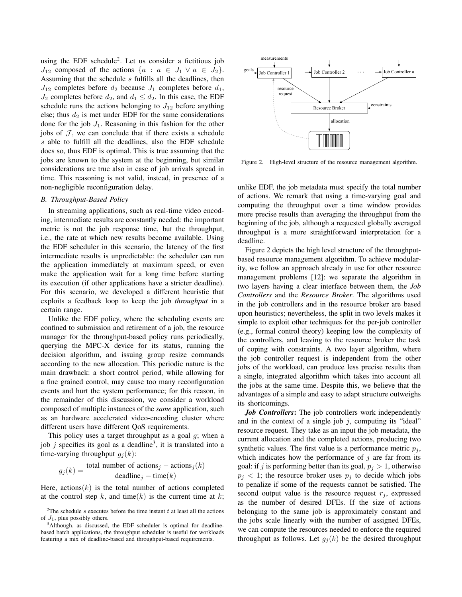using the EDF schedule<sup>2</sup>. Let us consider a fictitious job  $J_{12}$  composed of the actions  $\{a : a \in J_1 \vee a \in J_2\}.$ Assuming that the schedule s fulfills all the deadlines, then  $J_{12}$  completes before  $d_2$  because  $J_1$  completes before  $d_1$ ,  $J_2$  completes before  $d_2$ , and  $d_1 \leq d_2$ . In this case, the EDF schedule runs the actions belonging to  $J_{12}$  before anything else; thus  $d_2$  is met under EDF for the same considerations done for the job  $J_1$ . Reasoning in this fashion for the other jobs of  $J$ , we can conclude that if there exists a schedule s able to fulfill all the deadlines, also the EDF schedule does so, thus EDF is optimal. This is true assuming that the jobs are known to the system at the beginning, but similar considerations are true also in case of job arrivals spread in time. This reasoning is not valid, instead, in presence of a non-negligible reconfiguration delay.

## *B. Throughput-Based Policy*

In streaming applications, such as real-time video encoding, intermediate results are constantly needed: the important metric is not the job response time, but the throughput, i.e., the rate at which new results become available. Using the EDF scheduler in this scenario, the latency of the first intermediate results is unpredictable: the scheduler can run the application immediately at maximum speed, or even make the application wait for a long time before starting its execution (if other applications have a stricter deadline). For this scenario, we developed a different heuristic that exploits a feedback loop to keep the job *throughput* in a certain range.

Unlike the EDF policy, where the scheduling events are confined to submission and retirement of a job, the resource manager for the throughput-based policy runs periodically, querying the MPC-X device for its status, running the decision algorithm, and issuing group resize commands according to the new allocation. This periodic nature is the main drawback: a short control period, while allowing for a fine grained control, may cause too many reconfiguration events and hurt the system performance; for this reason, in the remainder of this discussion, we consider a workload composed of multiple instances of the *same* application, such as an hardware accelerated video-encoding cluster where different users have different QoS requirements.

This policy uses a target throughput as a goal  $g$ ; when a job  $j$  specifies its goal as a deadline<sup>3</sup>, it is translated into a time-varying throughput  $q_i(k)$ :

$$
g_j(k) = \frac{\text{total number of actions}_j - \text{actions}_j(k)}{\text{deadline}_j - \text{time}(k)}
$$

Here, actions $(k)$  is the total number of actions completed at the control step k, and time(k) is the current time at k;



Figure 2. High-level structure of the resource management algorithm.

unlike EDF, the job metadata must specify the total number of actions. We remark that using a time-varying goal and computing the throughput over a time window provides more precise results than averaging the throughput from the beginning of the job, although a requested globally averaged throughput is a more straightforward interpretation for a deadline.

Figure 2 depicts the high level structure of the throughputbased resource management algorithm. To achieve modularity, we follow an approach already in use for other resource management problems [12]: we separate the algorithm in two layers having a clear interface between them, the *Job Controllers* and the *Resource Broker*. The algorithms used in the job controllers and in the resource broker are based upon heuristics; nevertheless, the split in two levels makes it simple to exploit other techniques for the per-job controller (e.g., formal control theory) keeping low the complexity of the controllers, and leaving to the resource broker the task of coping with constraints. A two layer algorithm, where the job controller request is independent from the other jobs of the workload, can produce less precise results than a single, integrated algorithm which takes into account all the jobs at the same time. Despite this, we believe that the advantages of a simple and easy to adapt structure outweighs its shortcomings.

*Job Controllers*: The job controllers work independently and in the context of a single job  $j$ , computing its "ideal" resource request. They take as an input the job metadata, the current allocation and the completed actions, producing two synthetic values. The first value is a performance metric  $p_i$ , which indicates how the performance of  $j$  are far from its goal: if j is performing better than its goal,  $p_j > 1$ , otherwise  $p_j < 1$ ; the resource broker uses  $p_j$  to decide which jobs to penalize if some of the requests cannot be satisfied. The second output value is the resource request  $r_j$ , expressed as the number of desired DFEs. If the size of actions belonging to the same job is approximately constant and the jobs scale linearly with the number of assigned DFEs, we can compute the resources needed to enforce the required throughput as follows. Let  $g_i(k)$  be the desired throughput

<sup>&</sup>lt;sup>2</sup>The schedule s executes before the time instant t at least all the actions of  $J_1$ , plus possibly others.

<sup>&</sup>lt;sup>3</sup>Although, as discussed, the EDF scheduler is optimal for deadlinebased batch applications, the throughput scheduler is useful for workloads featuring a mix of deadline-based and throughput-based requirements.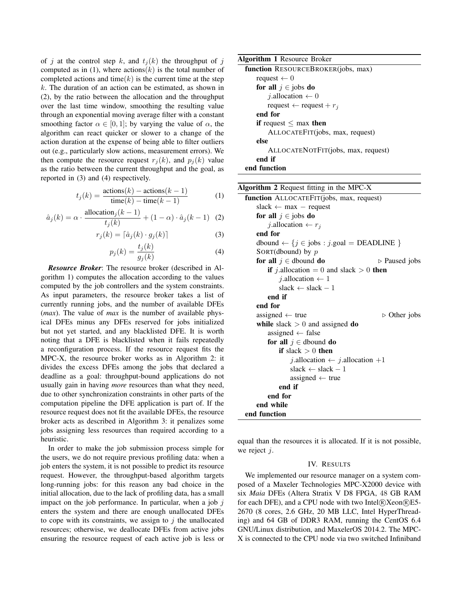of j at the control step k, and  $t_i(k)$  the throughput of j computed as in (1), where actions( $k$ ) is the total number of completed actions and time( $k$ ) is the current time at the step  $k$ . The duration of an action can be estimated, as shown in (2), by the ratio between the allocation and the throughput over the last time window, smoothing the resulting value through an exponential moving average filter with a constant smoothing factor  $\alpha \in [0, 1]$ ; by varying the value of  $\alpha$ , the algorithm can react quicker or slower to a change of the action duration at the expense of being able to filter outliers out (e.g., particularly slow actions, measurement errors). We then compute the resource request  $r_i(k)$ , and  $p_i(k)$  value as the ratio between the current throughput and the goal, as reported in (3) and (4) respectively.

$$
t_j(k) = \frac{\text{actions}(k) - \text{actions}(k-1)}{\text{time}(k) - \text{time}(k-1)}
$$
(1)

$$
\hat{a}_j(k) = \alpha \cdot \frac{\text{allocation}_j(k-1)}{t_j(k)} + (1-\alpha) \cdot \hat{a}_j(k-1) \tag{2}
$$

$$
r_j(k) = \lceil \hat{a}_j(k) \cdot g_j(k) \rceil \tag{3}
$$

$$
p_j(k) = \frac{t_j(k)}{g_j(k)}\tag{4}
$$

*Resource Broker*: The resource broker (described in Algorithm 1) computes the allocation according to the values computed by the job controllers and the system constraints. As input parameters, the resource broker takes a list of currently running jobs, and the number of available DFEs (*max*). The value of *max* is the number of available physical DFEs minus any DFEs reserved for jobs initialized but not yet started, and any blacklisted DFE. It is worth noting that a DFE is blacklisted when it fails repeatedly a reconfiguration process. If the resource request fits the MPC-X, the resource broker works as in Algorithm 2: it divides the excess DFEs among the jobs that declared a deadline as a goal: throughput-bound applications do not usually gain in having *more* resources than what they need, due to other synchronization constraints in other parts of the computation pipeline the DFE application is part of. If the resource request does not fit the available DFEs, the resource broker acts as described in Algorithm 3: it penalizes some jobs assigning less resources than required according to a heuristic.

In order to make the job submission process simple for the users, we do not require previous profiling data: when a job enters the system, it is not possible to predict its resource request. However, the throughput-based algorithm targets long-running jobs: for this reason any bad choice in the initial allocation, due to the lack of profiling data, has a small impact on the job performance. In particular, when a job  $i$ enters the system and there are enough unallocated DFEs to cope with its constraints, we assign to  $j$  the unallocated resources; otherwise, we deallocate DFEs from active jobs ensuring the resource request of each active job is less or

| <b>Algorithm 1 Resource Broker</b>   |
|--------------------------------------|
| function RESOURCEBROKER(jobs, max)   |
| request $\leftarrow 0$               |
| for all $j \in j$ obs do             |
| <i>i</i> .allocation $\leftarrow 0$  |
| request $\leftarrow$ request + $r_i$ |
| end for                              |
| if request $\leq$ max then           |
| ALLOCATEFIT(jobs, max, request)      |
| else                                 |
| ALLOCATENOTFIT(jobs, max, request)   |
| end if                               |
| end function                         |

| Algorithm 2 Request fitting in the MPC-X                                      |
|-------------------------------------------------------------------------------|
| function ALLOCATEFIT(jobs, max, request)                                      |
| slack $\leftarrow$ max $-$ request                                            |
| for all $j \in \text{ jobs }$ do                                              |
| j.allocation $\leftarrow r_i$                                                 |
| end for                                                                       |
| dbound $\leftarrow \{j \in \text{ jobs} : j\text{.goal} = \text{DEADLINE}\}\$ |
| SORT(dbound) by $p$                                                           |
| for all $j \in$ dbound do<br>$\triangleright$ Paused jobs                     |
| <b>if</b> j.allocation = 0 and slack > 0 <b>then</b>                          |
| <i>j</i> .allocation $\leftarrow$ 1                                           |
| slack $\leftarrow$ slack $-1$                                                 |
| end if                                                                        |
| end for                                                                       |
| assigned $\leftarrow$ true<br>$\triangleright$ Other jobs                     |
| while slack $> 0$ and assigned do                                             |
| assigned $\leftarrow$ false                                                   |
| for all $j \in$ dbound do                                                     |
| if slack $> 0$ then                                                           |
| j.allocation $\leftarrow$ j.allocation +1                                     |
| slack $\leftarrow$ slack $-1$                                                 |
| assigned $\leftarrow$ true                                                    |
| end if                                                                        |
| end for                                                                       |
| end while                                                                     |
| end function                                                                  |
|                                                                               |

equal than the resources it is allocated. If it is not possible, we reject *j*.

#### IV. RESULTS

We implemented our resource manager on a system composed of a Maxeler Technologies MPC-X2000 device with six *Maia* DFEs (Altera Stratix V D8 FPGA, 48 GB RAM for each DFE), and a CPU node with two Intel $\binom{R}{K}$ eon $\binom{R}{S}$ 2670 (8 cores, 2.6 GHz, 20 MB LLC, Intel HyperThreading) and 64 GB of DDR3 RAM, running the CentOS 6.4 GNU/Linux distribution, and MaxelerOS 2014.2. The MPC-X is connected to the CPU node via two switched Infiniband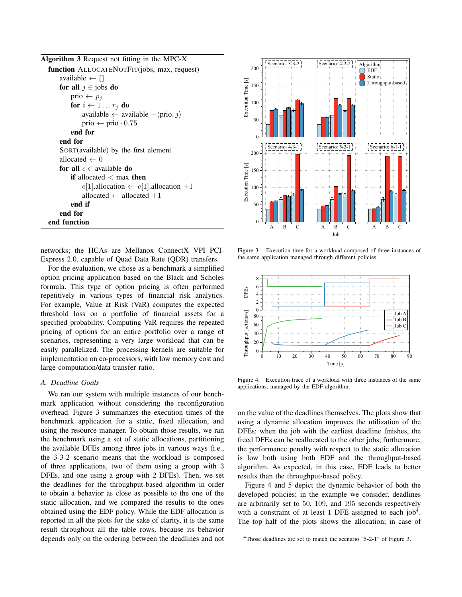| Algorithm 3 Request not fitting in the MPC-X |  |  |  |  |  |  |  |
|----------------------------------------------|--|--|--|--|--|--|--|
|----------------------------------------------|--|--|--|--|--|--|--|

| function ALLOCATENOTFIT(jobs, max, request)                        |
|--------------------------------------------------------------------|
| available $\leftarrow \Box$                                        |
| for all $j \in \text{ jobs }$ do                                   |
| prio $\leftarrow p_j$                                              |
| for $i \leftarrow 1 \ldots r_j$ do                                 |
| available $\leftarrow$ available $+\langle \text{prio}, j \rangle$ |
| prio $\leftarrow$ prio $\cdot$ 0.75                                |
| end for                                                            |
| end for                                                            |
| SORT(available) by the first element                               |
| allocated $\leftarrow 0$                                           |
| for all $e \in$ available do                                       |
| <b>if</b> allocated $\lt$ max <b>then</b>                          |
| $e[1]$ .allocation $\leftarrow e[1]$ .allocation +1                |
| allocated $\leftarrow$ allocated $+1$                              |
| end if                                                             |
| end for                                                            |
| end function                                                       |

networks; the HCAs are Mellanox ConnectX VPI PCI-Express 2.0, capable of Quad Data Rate (QDR) transfers.

For the evaluation, we chose as a benchmark a simplified option pricing application based on the Black and Scholes formula. This type of option pricing is often performed repetitively in various types of financial risk analytics. For example, Value at Risk (VaR) computes the expected threshold loss on a portfolio of financial assets for a specified probability. Computing VaR requires the repeated pricing of options for an entire portfolio over a range of scenarios, representing a very large workload that can be easily parallelized. The processing kernels are suitable for implementation on co-processors, with low memory cost and large computation/data transfer ratio.

## *A. Deadline Goals*

We ran our system with multiple instances of our benchmark application without considering the reconfiguration overhead. Figure 3 summarizes the execution times of the benchmark application for a static, fixed allocation, and using the resource manager. To obtain those results, we ran the benchmark using a set of static allocations, partitioning the available DFEs among three jobs in various ways (i.e., the 3-3-2 scenario means that the workload is composed of three applications, two of them using a group with 3 DFEs, and one using a group with 2 DFEs). Then, we set the deadlines for the throughput-based algorithm in order to obtain a behavior as close as possible to the one of the static allocation, and we compared the results to the ones obtained using the EDF policy. While the EDF allocation is reported in all the plots for the sake of clarity, it is the same result throughout all the table rows, because its behavior depends only on the ordering between the deadlines and not



Figure 3. Execution time for a workload composed of three instances of the same application managed through different policies.



Figure 4. Execution trace of a workload with three instances of the same applications, managed by the EDF algorithm.

on the value of the deadlines themselves. The plots show that using a dynamic allocation improves the utilization of the DFEs: when the job with the earliest deadline finishes, the freed DFEs can be reallocated to the other jobs; furthermore, the performance penalty with respect to the static allocation is low both using both EDF and the throughput-based algorithm. As expected, in this case, EDF leads to better results than the throughput-based policy.

Figure 4 and 5 depict the dynamic behavior of both the developed policies; in the example we consider, deadlines are arbitrarily set to 50, 109, and 195 seconds respectively with a constraint of at least 1 DFE assigned to each job<sup>4</sup>. The top half of the plots shows the allocation; in case of

<sup>4</sup>Those deadlines are set to match the scenario "5-2-1" of Figure 3.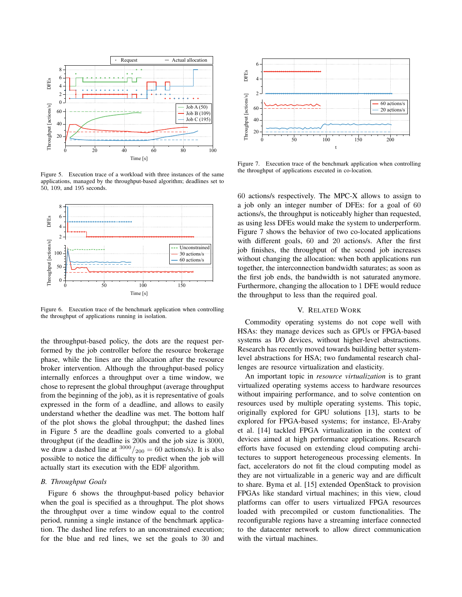

Figure 5. Execution trace of a workload with three instances of the same applications, managed by the throughput-based algorithm; deadlines set to 50, 109, and 195 seconds.



Figure 6. Execution trace of the benchmark application when controlling the throughput of applications running in isolation.

the throughput-based policy, the dots are the request performed by the job controller before the resource brokerage phase, while the lines are the allocation after the resource broker intervention. Although the throughput-based policy internally enforces a throughput over a time window, we chose to represent the global throughput (average throughput from the beginning of the job), as it is representative of goals expressed in the form of a deadline, and allows to easily understand whether the deadline was met. The bottom half of the plot shows the global throughput; the dashed lines in Figure 5 are the deadline goals converted to a global throughput (if the deadline is 200s and the job size is 3000, we draw a dashed line at  $3000/200 = 60$  actions/s). It is also possible to notice the difficulty to predict when the job will actually start its execution with the EDF algorithm.

## *B. Throughput Goals*

Figure 6 shows the throughput-based policy behavior when the goal is specified as a throughput. The plot shows the throughput over a time window equal to the control period, running a single instance of the benchmark application. The dashed line refers to an unconstrained execution; for the blue and red lines, we set the goals to 30 and



Figure 7. Execution trace of the benchmark application when controlling the throughput of applications executed in co-location.

60 actions/s respectively. The MPC-X allows to assign to a job only an integer number of DFEs: for a goal of 60 actions/s, the throughput is noticeably higher than requested, as using less DFEs would make the system to underperform. Figure 7 shows the behavior of two co-located applications with different goals, 60 and 20 actions/s. After the first job finishes, the throughput of the second job increases without changing the allocation: when both applications run together, the interconnection bandwidth saturates; as soon as the first job ends, the bandwidth is not saturated anymore. Furthermore, changing the allocation to 1 DFE would reduce the throughput to less than the required goal.

### V. RELATED WORK

Commodity operating systems do not cope well with HSAs: they manage devices such as GPUs or FPGA-based systems as I/O devices, without higher-level abstractions. Research has recently moved towards building better systemlevel abstractions for HSA; two fundamental research challenges are resource virtualization and elasticity.

An important topic in *resource virtualization* is to grant virtualized operating systems access to hardware resources without impairing performance, and to solve contention on resources used by multiple operating systems. This topic, originally explored for GPU solutions [13], starts to be explored for FPGA-based systems; for instance, El-Araby et al. [14] tackled FPGA virtualization in the context of devices aimed at high performance applications. Research efforts have focused on extending cloud computing architectures to support heterogeneous processing elements. In fact, accelerators do not fit the cloud computing model as they are not virtualizable in a generic way and are difficult to share. Byma et al. [15] extended OpenStack to provision FPGAs like standard virtual machines; in this view, cloud platforms can offer to users virtualized FPGA resources loaded with precompiled or custom functionalities. The reconfigurable regions have a streaming interface connected to the datacenter network to allow direct communication with the virtual machines.